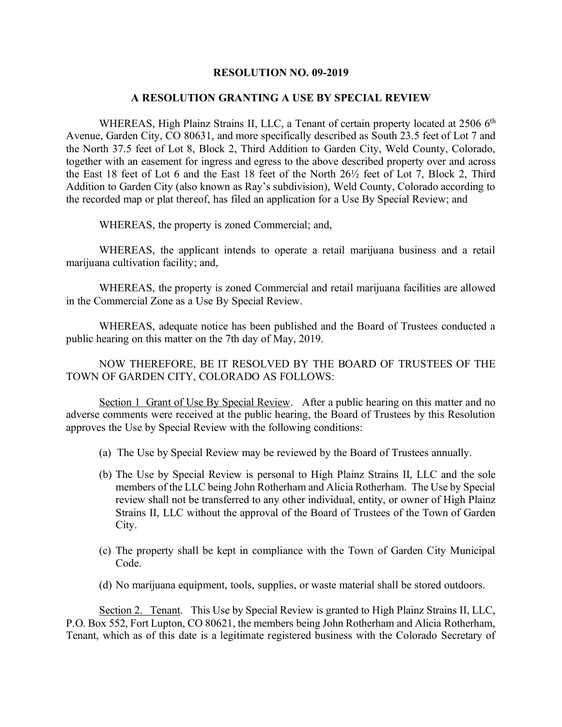## **RESOLUTION NO. 09-2019**

## **A RESOLUTION GRANTING A USE BY SPECIAL REVIEW**

WHEREAS, High Plainz Strains II, LLC, a Tenant of certain property located at 2506 6<sup>th</sup> Avenue, Garden City, CO 80631, and more specifically described as South 23.5 feet of Lot 7 and the North 37.5 feet of Lot 8, Block 2, Third Addition to Garden City, Weld County, Colorado, together with an easement for ingress and egress to the above described property over and across the East 18 feet of Lot 6 and the East 18 feet of the North 26½ feet of Lot 7, Block 2, Third Addition to Garden City (also known as Ray's subdivision), Weld County, Colorado according to the recorded map or plat thereof, has filed an application for a Use By Special Review; and

WHEREAS, the property is zoned Commercial; and,

WHEREAS, the applicant intends to operate a retail marijuana business and a retail marijuana cultivation facility; and,

WHEREAS, the property is zoned Commercial and retail marijuana facilities are allowed in the Commercial Zone as a Use By Special Review.

WHEREAS, adequate notice has been published and the Board of Trustees conducted a public hearing on this matter on the 7th day of May, 2019.

NOW THEREFORE, BE IT RESOLVED BY THE BOARD OF TRUSTEES OF THE TOWN OF GARDEN CITY, COLORADO AS FOLLOWS:

Section 1 Grant of Use By Special Review. After a public hearing on this matter and no adverse comments were received at the public hearing, the Board of Trustees by this Resolution approves the Use by Special Review with the following conditions:

- (a) The Use by Special Review may be reviewed by the Board of Trustees annually.
- (b) The Use by Special Review is personal to High Plainz Strains II, LLC and the sole members of the LLC being John Rotherham and Alicia Rotherham. The Use by Special review shall not be transferred to any other individual, entity, or owner of High Plainz Strains II, LLC without the approval of the Board of Trustees of the Town of Garden City.
- (c) The property shall be kept in compliance with the Town of Garden City Municipal Code.
- (d) No marijuana equipment, tools, supplies, or waste material shall be stored outdoors.

Section 2. Tenant. This Use by Special Review is granted to High Plainz Strains II, LLC, P.O. Box 552, Fort Lupton, CO 80621, the members being John Rotherham and Alicia Rotherham, Tenant, which as of this date is a legitimate registered business with the Colorado Secretary of